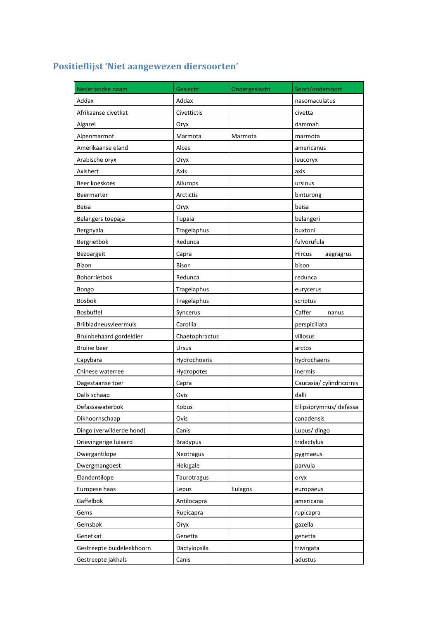## **Positieflijst 'Niet aangewezen diersoorten'**

| Nederlandse naam          | Geslacht         | Ondergeslacht | Soort/ondersoort         |
|---------------------------|------------------|---------------|--------------------------|
| Addax                     | Addax            |               | nasomaculatus            |
| Afrikaanse civetkat       | Civettictis      |               | civetta                  |
| Algazel                   | Oryx             |               | dammah                   |
| Alpenmarmot               | Marmota          | Marmota       | marmota                  |
| Amerikaanse eland         | Alces            |               | americanus               |
| Arabische oryx            | Oryx             |               | leucoryx                 |
| Axishert                  | Axis             |               | axis                     |
| Beer koeskoes             | Ailurops         |               | ursinus                  |
| Beermarter                | <b>Arctictis</b> |               | binturong                |
| Beisa                     | Oryx             |               | beisa                    |
| Belangers toepaja         | Tupaia           |               | belangeri                |
| Bergnyala                 | Tragelaphus      |               | buxtoni                  |
| Bergrietbok               | Redunca          |               | fulvorufula              |
| Bezoargeit                | Capra            |               | Hircus<br>aegragrus      |
| <b>Bizon</b>              | <b>Bison</b>     |               | bison                    |
| Bohorrietbok              | Redunca          |               | redunca                  |
| Bongo                     | Tragelaphus      |               | eurycerus                |
| <b>Bosbok</b>             | Tragelaphus      |               | scriptus                 |
| <b>Bosbuffel</b>          | Syncerus         |               | Caffer<br>nanus          |
| Brilbladneusvleermuis     | Carollia         |               | perspicillata            |
| Bruinbehaard gordeldier   | Chaetophractus   |               | villosus                 |
| <b>Bruine</b> beer        | Ursus            |               | arctos                   |
| Capybara                  | Hydrochoeris     |               | hydrochaeris             |
| Chinese waterree          | Hydropotes       |               | inermis                  |
| Dagestaanse toer          | Capra            |               | Caucasia/ cylindricornis |
| Dalls schaap              | Ovis             |               | dalli                    |
| Defassawaterbok           | Kobus            |               | Ellipsiprymnus/ defassa  |
| Dikhoornschaap            | Ovis             |               | canadensis               |
| Dingo (verwilderde hond)  | Canis            |               | Lupus/ dingo             |
| Drievingerige luiaard     | <b>Bradypus</b>  |               | tridactylus              |
| Dwergantilope             | Neotragus        |               | pygmaeus                 |
| Dwergmangoest             | Helogale         |               | parvula                  |
| Elandantilope             | Taurotragus      |               | oryx                     |
| Europese haas             | Lepus            | Eulagos       | europaeus                |
| Gaffelbok                 | Antilocapra      |               | americana                |
| Gems                      | Rupicapra        |               | rupicapra                |
| Gemsbok                   | Oryx             |               | gazella                  |
| Genetkat                  | Genetta          |               | genetta                  |
| Gestreepte buideleekhoorn | Dactylopsila     |               | trivirgata               |
| Gestreepte jakhals        | Canis            |               | adustus                  |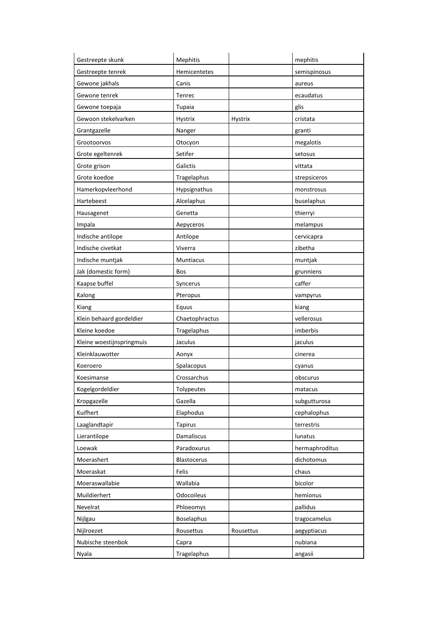| Gestreepte skunk          | Mephitis         |                | mephitis       |
|---------------------------|------------------|----------------|----------------|
| Gestreepte tenrek         | Hemicentetes     |                | semispinosus   |
| Gewone jakhals            | Canis            |                | aureus         |
| Gewone tenrek             | Tenrec           |                | ecaudatus      |
| Gewone toepaja            | Tupaia           |                | glis           |
| Gewoon stekelvarken       | <b>Hystrix</b>   | <b>Hystrix</b> | cristata       |
| Grantgazelle              | Nanger           |                | granti         |
| Grootoorvos               | Otocyon          |                | megalotis      |
| Grote egeltenrek          | Setifer          |                | setosus        |
| Grote grison              | Galictis         |                | vittata        |
| Grote koedoe              | Tragelaphus      |                | strepsiceros   |
| Hamerkopvleerhond         | Hypsignathus     |                | monstrosus     |
| Hartebeest                | Alcelaphus       |                | buselaphus     |
| Hausagenet                | Genetta          |                | thierryi       |
| Impala                    | Aepyceros        |                | melampus       |
| Indische antilope         | Antilope         |                | cervicapra     |
| Indische civetkat         | Viverra          |                | zibetha        |
| Indische muntjak          | <b>Muntiacus</b> |                | muntjak        |
| Jak (domestic form)       | Bos              |                | grunniens      |
| Kaapse buffel             | Syncerus         |                | caffer         |
| Kalong                    | Pteropus         |                | vampyrus       |
| Kiang                     | Equus            |                | kiang          |
| Klein behaard gordeldier  | Chaetophractus   |                | vellerosus     |
| Kleine koedoe             | Tragelaphus      |                | imberbis       |
| Kleine woestijnspringmuis | Jaculus          |                | jaculus        |
| Kleinklauwotter           | Aonyx            |                | cinerea        |
| Koeroero                  | Spalacopus       |                | cyanus         |
| Koesimanse                | Crossarchus      |                | obscurus       |
| Kogelgordeldier           | Tolypeutes       |                | matacus        |
| Kropgazelle               | Gazella          |                | subgutturosa   |
| Kuifhert                  | Elaphodus        |                | cephalophus    |
| Laaglandtapir             | <b>Tapirus</b>   |                | terrestris     |
| Lierantilope              | Damaliscus       |                | lunatus        |
| Loewak                    | Paradoxurus      |                | hermaphroditus |
| Moerashert                | Blastocerus      |                | dichotomus     |
| Moeraskat                 | Felis            |                | chaus          |
| Moeraswallabie            | Wallabia         |                | bicolor        |
| Muildierhert              | Odocoileus       |                | hemionus       |
| Nevelrat                  | Phloeomys        |                | pallidus       |
| Nijlgau                   | Boselaphus       |                | tragocamelus   |
| Nijlroezet                | Rousettus        | Rousettus      | aegyptiacus    |
| Nubische steenbok         | Capra            |                | nubiana        |
| Nyala                     | Tragelaphus      |                | angasii        |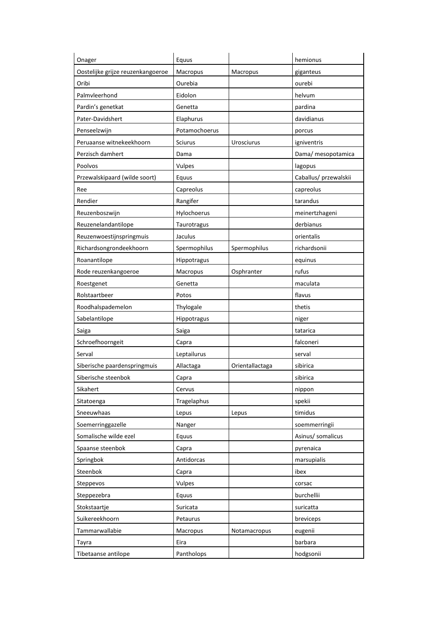| Onager                            | Equus          |                 | hemionus              |
|-----------------------------------|----------------|-----------------|-----------------------|
| Oostelijke grijze reuzenkangoeroe | Macropus       | Macropus        | giganteus             |
| Oribi                             | Ourebia        |                 | ourebi                |
| Palmyleerhond                     | Eidolon        |                 | helvum                |
| Pardin's genetkat                 | Genetta        |                 | pardina               |
| Pater-Davidshert                  | Elaphurus      |                 | davidianus            |
| Penseelzwijn                      | Potamochoerus  |                 | porcus                |
| Peruaanse witnekeekhoorn          | <b>Sciurus</b> | Urosciurus      | igniventris           |
| Perzisch damhert                  | Dama           |                 | Dama/ mesopotamica    |
| Poolvos                           | Vulpes         |                 | lagopus               |
| Przewalskipaard (wilde soort)     | Equus          |                 | Caballus/ przewalskii |
| Ree                               | Capreolus      |                 | capreolus             |
| Rendier                           | Rangifer       |                 | tarandus              |
| Reuzenboszwijn                    | Hylochoerus    |                 | meinertzhageni        |
| Reuzenelandantilope               | Taurotragus    |                 | derbianus             |
| Reuzenwoestijnspringmuis          | Jaculus        |                 | orientalis            |
| Richardsongrondeekhoorn           | Spermophilus   | Spermophilus    | richardsonii          |
| Roanantilope                      | Hippotragus    |                 | equinus               |
| Rode reuzenkangoeroe              | Macropus       | Osphranter      | rufus                 |
| Roestgenet                        | Genetta        |                 | maculata              |
| Rolstaartbeer                     | Potos          |                 | flavus                |
| Roodhalspademelon                 | Thylogale      |                 | thetis                |
| Sabelantilope                     | Hippotragus    |                 | niger                 |
| Saiga                             | Saiga          |                 | tatarica              |
| Schroefhoorngeit                  | Capra          |                 | falconeri             |
| Serval                            | Leptailurus    |                 | serval                |
| Siberische paardenspringmuis      | Allactaga      | Orientallactaga | sibirica              |
| Siberische steenbok               | Capra          |                 | sibirica              |
| Sikahert                          | Cervus         |                 | nippon                |
| Sitatoenga                        | Tragelaphus    |                 | spekii                |
| Sneeuwhaas                        | Lepus          | Lepus           | timidus               |
| Soemerringgazelle                 | Nanger         |                 | soemmerringii         |
| Somalische wilde ezel             | Equus          |                 | Asinus/ somalicus     |
| Spaanse steenbok                  | Capra          |                 | pyrenaica             |
| Springbok                         | Antidorcas     |                 | marsupialis           |
| Steenbok                          | Capra          |                 | ibex                  |
| Steppevos                         | Vulpes         |                 | corsac                |
| Steppezebra                       | Equus          |                 | burchellii            |
| Stokstaartje                      | Suricata       |                 | suricatta             |
| Suikereekhoorn                    | Petaurus       |                 | breviceps             |
| Tammarwallabie                    | Macropus       | Notamacropus    | eugenii               |
| Tayra                             | Eira           |                 | barbara               |
| Tibetaanse antilope               | Pantholops     |                 | hodgsonii             |